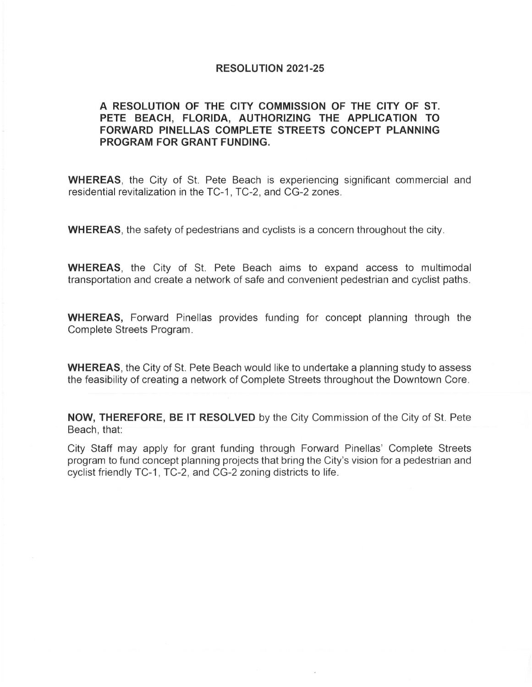## **RESOLUTION 2021-25**

## **A RESOLUTION OF THE CITY COMMISSION OF THE CITY OF ST. PETE BEACH, FLORIDA, AUTHORIZING THE APPLICATION TO FORWARD PINELLAS COMPLETE STREETS CONCEPT PLANNING PROGRAM FOR GRANT FUNDING.**

**WHEREAS,** the City of St. Pete Beach is experiencing significant commercial and residential revitalization in the TC-1 , TC-2, and CG-2 zones.

**WHEREAS,** the safety of pedestrians and cyclists is a concern throughout the city.

**WHEREAS,** the City of St. Pete Beach aims to expand access to multimodal transportation and create a network of safe and convenient pedestrian and cyclist paths.

**WHEREAS,** Forward Pinellas provides funding for concept planning through the Complete Streets Program.

**WHEREAS,** the City of St. Pete Beach would like to undertake a planning study to assess the feasibility of creating a network of Complete Streets throughout the Downtown Core.

**NOW, THEREFORE, BE IT RESOLVED** by the City Commission of the City of St. Pete Beach, that:

City Staff may apply for grant funding through Forward Pinellas' Complete Streets program to fund concept planning projects that bring the City's vision for a pedestrian and cyclist friendly TC-1, TC-2 , and CG-2 zoning districts to life.